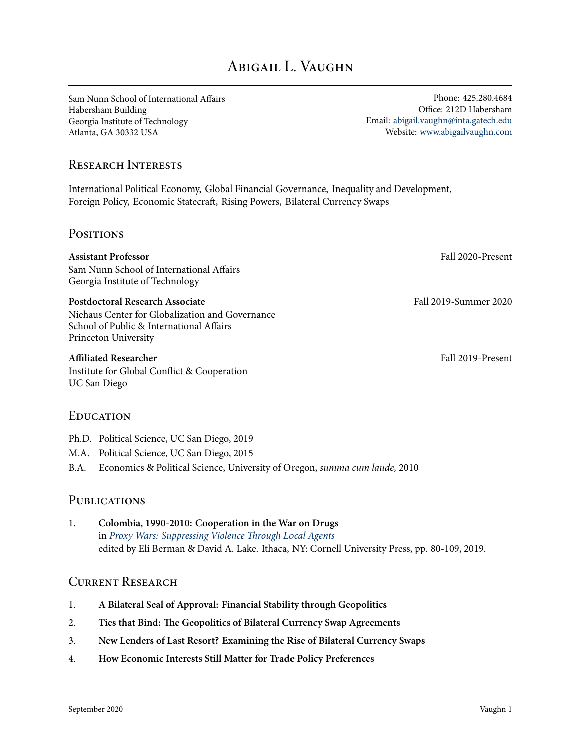# ABIGAIL L. VAUGHN

Sam Nunn School of International Affairs Habersham Building Georgia Institute of Technology Atlanta, GA 30332 USA

Phone: 425.280.4684 Office: 212D Habersham Email: [abigail.vaughn@inta.gatech.edu](mailto:abigail.vaughn@inta.gatech.edu) Website: [www.abigailvaughn.com](http://www.abigailvaughn.com)

### Research Interests

International Political Economy, Global Financial Governance, Inequality and Development, Foreign Policy, Economic Statecraft, Rising Powers, Bilateral Currency Swaps

#### **POSITIONS**

**Assistant Professor** Fall 2020-Present Sam Nunn School of International Affairs Georgia Institute of Technology

**Postdoctoral Research Associate** Fall 2019-Summer 2020 Niehaus Center for Globalization and Governance School of Public & International Affairs Princeton University

#### **Affiliated Researcher** Fall 2019-Present

Institute for Global Conflict & Cooperation UC San Diego

#### **EDUCATION**

- Ph.D. Political Science, UC San Diego, 2019
- M.A. Political Science, UC San Diego, 2015
- B.A. Economics & Political Science, University of Oregon, *summa cum laude,* 2010

#### **PUBLICATIONS**

1. **Colombia, 1990-2010: Cooperation in the War on Drugs** in *[Proxy Wars: Suppressing Violence Through Local Agents](http://www.cornellpress.cornell.edu/book/?GCOI=80140107821810)* edited by Eli Berman & David A. Lake. Ithaca, NY: Cornell University Press, pp. 80-109, 2019.

#### CURRENT RESEARCH

- 1. **A Bilateral Seal of Approval: Financial Stability through Geopolitics**
- 2. **Ties that Bind: The Geopolitics of Bilateral Currency Swap Agreements**
- 3. **New Lenders of Last Resort? Examining the Rise of Bilateral Currency Swaps**
- 4. **How Economic Interests Still Matter for Trade Policy Preferences**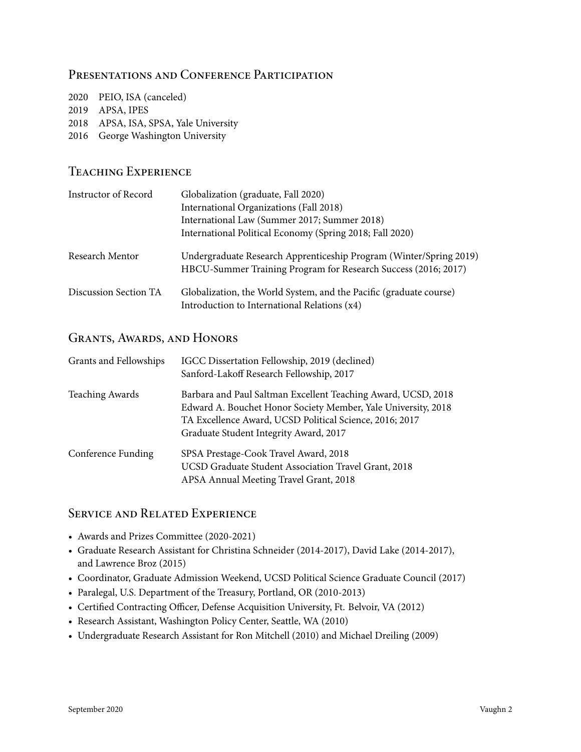## PRESENTATIONS AND CONFERENCE PARTICIPATION

| 2020 PEIO, ISA (canceled) |
|---------------------------|
| 2019 APSA, IPES           |

- 2018 APSA, ISA, SPSA, Yale University
- 2016 George Washington University

## Teaching Experience

| Instructor of Record  | Globalization (graduate, Fall 2020)                                                                                                  |
|-----------------------|--------------------------------------------------------------------------------------------------------------------------------------|
|                       | International Organizations (Fall 2018)                                                                                              |
|                       | International Law (Summer 2017; Summer 2018)                                                                                         |
|                       | International Political Economy (Spring 2018; Fall 2020)                                                                             |
| Research Mentor       | Undergraduate Research Apprenticeship Program (Winter/Spring 2019)<br>HBCU-Summer Training Program for Research Success (2016; 2017) |
| Discussion Section TA | Globalization, the World System, and the Pacific (graduate course)<br>Introduction to International Relations (x4)                   |

## GRANTS, AWARDS, AND HONORS

| Grants and Fellowships    | IGCC Dissertation Fellowship, 2019 (declined)<br>Sanford-Lakoff Research Fellowship, 2017                                                                                                                                           |
|---------------------------|-------------------------------------------------------------------------------------------------------------------------------------------------------------------------------------------------------------------------------------|
| <b>Teaching Awards</b>    | Barbara and Paul Saltman Excellent Teaching Award, UCSD, 2018<br>Edward A. Bouchet Honor Society Member, Yale University, 2018<br>TA Excellence Award, UCSD Political Science, 2016; 2017<br>Graduate Student Integrity Award, 2017 |
| <b>Conference Funding</b> | SPSA Prestage-Cook Travel Award, 2018<br>UCSD Graduate Student Association Travel Grant, 2018<br>APSA Annual Meeting Travel Grant, 2018                                                                                             |

## Service and Related Experience

- Awards and Prizes Committee (2020-2021)
- Graduate Research Assistant for Christina Schneider (2014-2017), David Lake (2014-2017), and Lawrence Broz (2015)
- Coordinator, Graduate Admission Weekend, UCSD Political Science Graduate Council (2017)
- Paralegal, U.S. Department of the Treasury, Portland, OR (2010-2013)
- Certified Contracting Officer, Defense Acquisition University, Ft. Belvoir, VA (2012)
- Research Assistant, Washington Policy Center, Seattle, WA (2010)
- Undergraduate Research Assistant for Ron Mitchell (2010) and Michael Dreiling (2009)